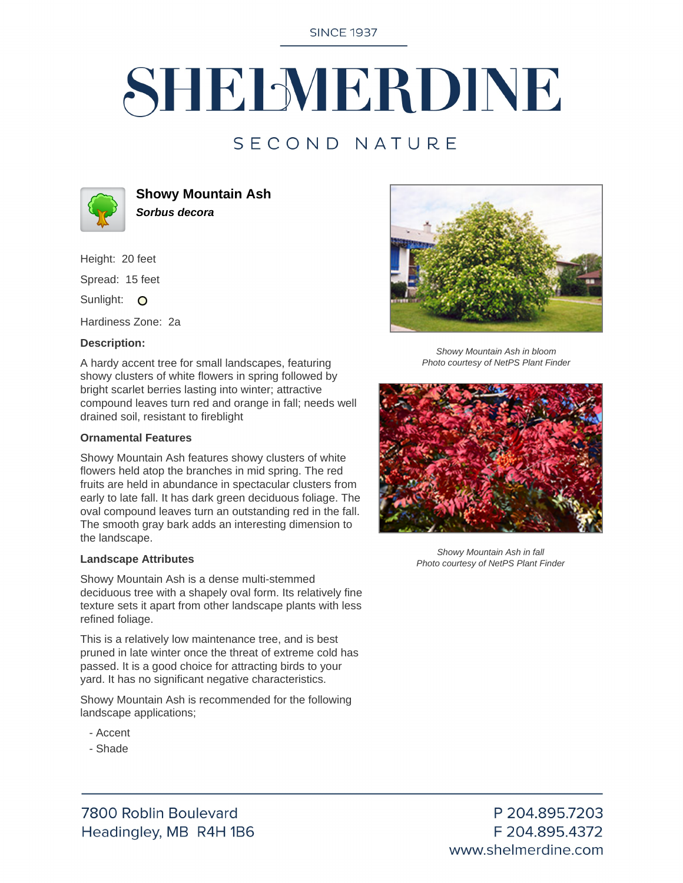**SINCE 1937** 

# SHELMERDINE

### SECOND NATURE



**Showy Mountain Ash Sorbus decora**

Height: 20 feet

Spread: 15 feet

Sunlight: O

Hardiness Zone: 2a

#### **Description:**

A hardy accent tree for small landscapes, featuring showy clusters of white flowers in spring followed by bright scarlet berries lasting into winter; attractive compound leaves turn red and orange in fall; needs well drained soil, resistant to fireblight

#### **Ornamental Features**

Showy Mountain Ash features showy clusters of white flowers held atop the branches in mid spring. The red fruits are held in abundance in spectacular clusters from early to late fall. It has dark green deciduous foliage. The oval compound leaves turn an outstanding red in the fall. The smooth gray bark adds an interesting dimension to the landscape.

#### **Landscape Attributes**

Showy Mountain Ash is a dense multi-stemmed deciduous tree with a shapely oval form. Its relatively fine texture sets it apart from other landscape plants with less refined foliage.

This is a relatively low maintenance tree, and is best pruned in late winter once the threat of extreme cold has passed. It is a good choice for attracting birds to your yard. It has no significant negative characteristics.

Showy Mountain Ash is recommended for the following landscape applications;

- Accent
- Shade



Showy Mountain Ash in bloom Photo courtesy of NetPS Plant Finder



Showy Mountain Ash in fall Photo courtesy of NetPS Plant Finder

7800 Roblin Boulevard Headingley, MB R4H 1B6

P 204.895.7203 F 204.895.4372 www.shelmerdine.com